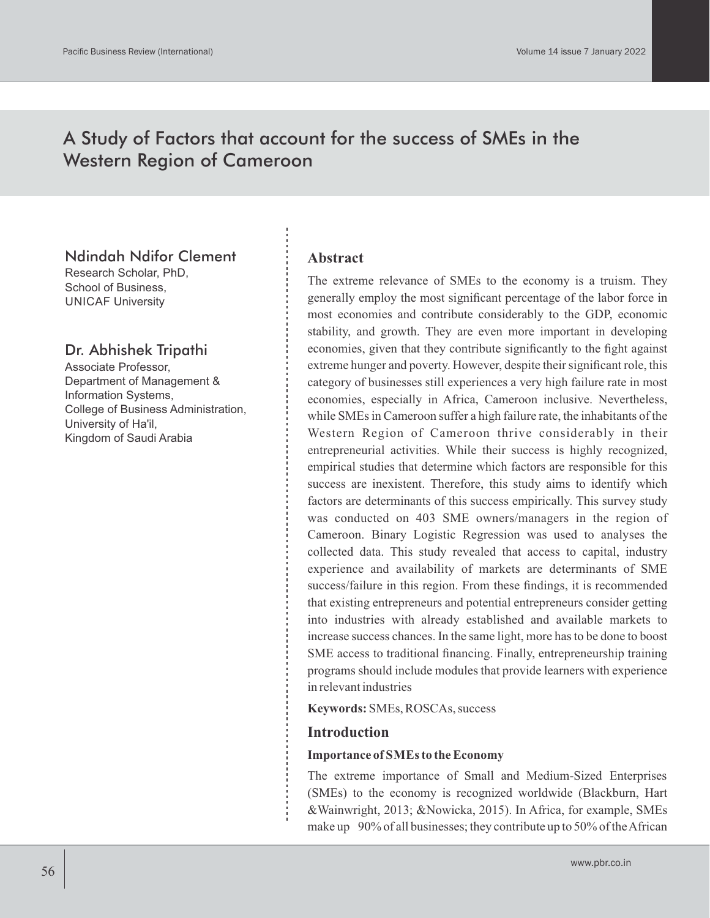# A Study of Factors that account for the success of SMEs in the Western Region of Cameroon

## Ndindah Ndifor Clement

Research Scholar, PhD, School of Business, UNICAF University

# Dr. Abhishek Tripathi

Associate Professor, Department of Management & Information Systems, College of Business Administration, University of Ha'il, Kingdom of Saudi Arabia

### **Abstract**

The extreme relevance of SMEs to the economy is a truism. They generally employ the most significant percentage of the labor force in most economies and contribute considerably to the GDP, economic stability, and growth. They are even more important in developing economies, given that they contribute significantly to the fight against extreme hunger and poverty. However, despite their significant role, this category of businesses still experiences a very high failure rate in most economies, especially in Africa, Cameroon inclusive. Nevertheless, while SMEs in Cameroon suffer a high failure rate, the inhabitants of the Western Region of Cameroon thrive considerably in their entrepreneurial activities. While their success is highly recognized, empirical studies that determine which factors are responsible for this success are inexistent. Therefore, this study aims to identify which factors are determinants of this success empirically. This survey study was conducted on 403 SME owners/managers in the region of Cameroon. Binary Logistic Regression was used to analyses the collected data. This study revealed that access to capital, industry experience and availability of markets are determinants of SME success/failure in this region. From these findings, it is recommended that existing entrepreneurs and potential entrepreneurs consider getting into industries with already established and available markets to increase success chances. In the same light, more has to be done to boost SME access to traditional financing. Finally, entrepreneurship training programs should include modules that provide learners with experience in relevant industries

**Keywords:** SMEs, ROSCAs, success

### **Introduction**

#### **Importance of SMEs to the Economy**

The extreme importance of Small and Medium-Sized Enterprises (SMEs) to the economy is recognized worldwide (Blackburn, Hart &Wainwright, 2013; &Nowicka, 2015). In Africa, for example, SMEs make up 90% of all businesses; they contribute up to 50% of the African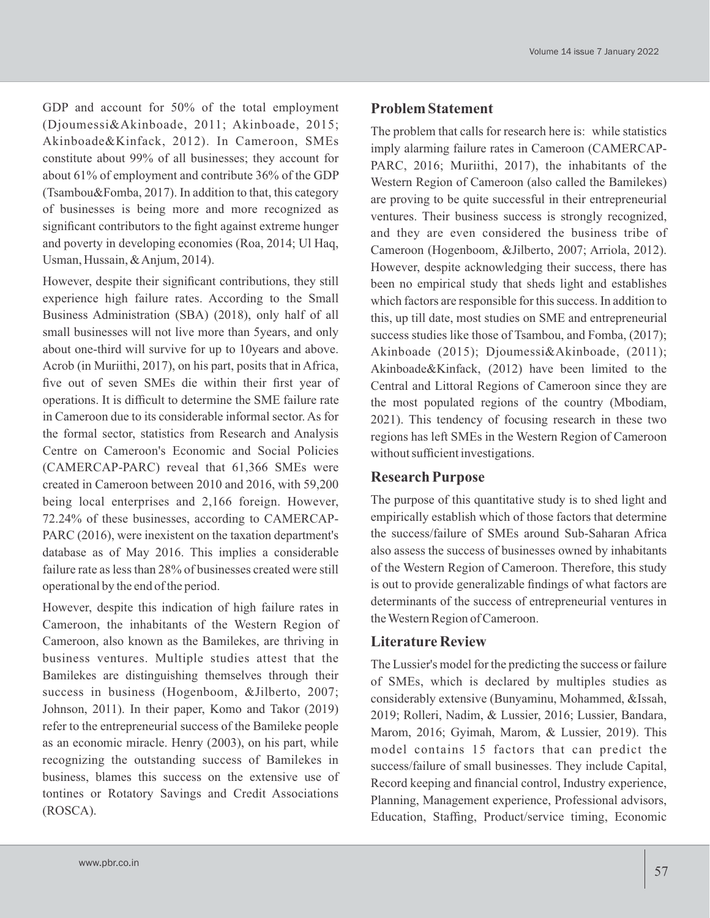GDP and account for 50% of the total employment (Djoumessi&Akinboade, 2011; Akinboade, 2015; Akinboade&Kinfack, 2012). In Cameroon, SMEs constitute about 99% of all businesses; they account for about 61% of employment and contribute 36% of the GDP (Tsambou&Fomba, 2017). In addition to that, this category of businesses is being more and more recognized as significant contributors to the fight against extreme hunger and poverty in developing economies (Roa, 2014; Ul Haq, Usman, Hussain, & Anjum, 2014).

However, despite their significant contributions, they still experience high failure rates. According to the Small Business Administration (SBA) (2018), only half of all small businesses will not live more than 5years, and only about one-third will survive for up to 10years and above. Acrob (in Muriithi, 2017), on his part, posits that in Africa, five out of seven SMEs die within their first year of operations. It is difficult to determine the SME failure rate in Cameroon due to its considerable informal sector. As for the formal sector, statistics from Research and Analysis Centre on Cameroon's Economic and Social Policies (CAMERCAP-PARC) reveal that 61,366 SMEs were created in Cameroon between 2010 and 2016, with 59,200 being local enterprises and 2,166 foreign. However, 72.24% of these businesses, according to CAMERCAP-PARC (2016), were inexistent on the taxation department's database as of May 2016. This implies a considerable failure rate as less than 28% of businesses created were still operational by the end of the period.

However, despite this indication of high failure rates in Cameroon, the inhabitants of the Western Region of Cameroon, also known as the Bamilekes, are thriving in business ventures. Multiple studies attest that the Bamilekes are distinguishing themselves through their success in business (Hogenboom, &Jilberto, 2007; Johnson, 2011). In their paper, Komo and Takor (2019) refer to the entrepreneurial success of the Bamileke people as an economic miracle. Henry (2003), on his part, while recognizing the outstanding success of Bamilekes in business, blames this success on the extensive use of tontines or Rotatory Savings and Credit Associations (ROSCA).

### **Problem Statement**

The problem that calls for research here is: while statistics imply alarming failure rates in Cameroon (CAMERCAP-PARC, 2016; Muriithi, 2017), the inhabitants of the Western Region of Cameroon (also called the Bamilekes) are proving to be quite successful in their entrepreneurial ventures. Their business success is strongly recognized, and they are even considered the business tribe of Cameroon (Hogenboom, &Jilberto, 2007; Arriola, 2012). However, despite acknowledging their success, there has been no empirical study that sheds light and establishes which factors are responsible for this success. In addition to this, up till date, most studies on SME and entrepreneurial success studies like those of Tsambou, and Fomba, (2017); Akinboade (2015); Djoumessi&Akinboade, (2011); Akinboade&Kinfack, (2012) have been limited to the Central and Littoral Regions of Cameroon since they are the most populated regions of the country (Mbodiam, 2021). This tendency of focusing research in these two regions has left SMEs in the Western Region of Cameroon without sufficient investigations.

#### **Research Purpose**

The purpose of this quantitative study is to shed light and empirically establish which of those factors that determine the success/failure of SMEs around Sub-Saharan Africa also assess the success of businesses owned by inhabitants of the Western Region of Cameroon. Therefore, this study is out to provide generalizable findings of what factors are determinants of the success of entrepreneurial ventures in the Western Region of Cameroon.

### **Literature Review**

The Lussier's model for the predicting the success or failure of SMEs, which is declared by multiples studies as considerably extensive (Bunyaminu, Mohammed, &Issah, 2019; Rolleri, Nadim, & Lussier, 2016; Lussier, Bandara, Marom, 2016; Gyimah, Marom, & Lussier, 2019). This model contains 15 factors that can predict the success/failure of small businesses. They include Capital, Record keeping and financial control, Industry experience, Planning, Management experience, Professional advisors, Education, Staffing, Product/service timing, Economic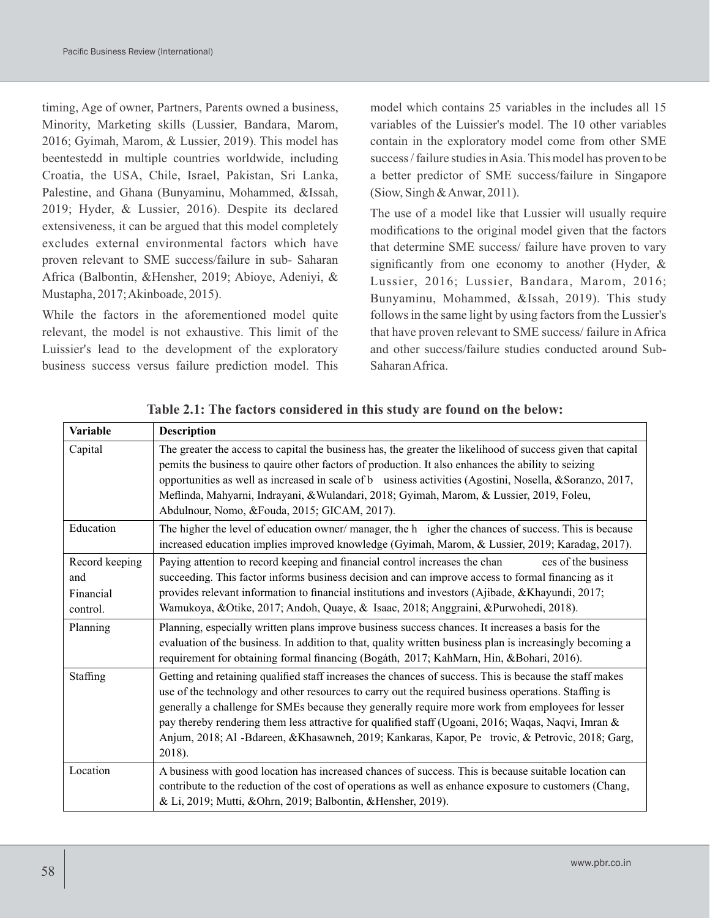timing, Age of owner, Partners, Parents owned a business, Minority, Marketing skills (Lussier, Bandara, Marom, 2016; Gyimah, Marom, & Lussier, 2019). This model has beentestedd in multiple countries worldwide, including Croatia, the USA, Chile, Israel, Pakistan, Sri Lanka, Palestine, and Ghana (Bunyaminu, Mohammed, &Issah, 2019; Hyder, & Lussier, 2016). Despite its declared extensiveness, it can be argued that this model completely excludes external environmental factors which have proven relevant to SME success/failure in sub- Saharan Africa (Balbontin, &Hensher, 2019; Abioye, Adeniyi, & Mustapha, 2017; Akinboade, 2015).

While the factors in the aforementioned model quite relevant, the model is not exhaustive. This limit of the Luissier's lead to the development of the exploratory business success versus failure prediction model. This model which contains 25 variables in the includes all 15 variables of the Luissier's model. The 10 other variables contain in the exploratory model come from other SME success / failure studies in Asia. This model has proven to be a better predictor of SME success/failure in Singapore (Siow, Singh & Anwar, 2011).

The use of a model like that Lussier will usually require modifications to the original model given that the factors that determine SME success/ failure have proven to vary significantly from one economy to another (Hyder, & Lussier, 2016; Lussier, Bandara, Marom, 2016; Bunyaminu, Mohammed, &Issah, 2019). This study follows in the same light by using factors from the Lussier's that have proven relevant to SME success/ failure in Africa and other success/failure studies conducted around Sub-Saharan Africa.

| Variable                                       | <b>Description</b>                                                                                                                                                                                                                                                                                                                                                                                                                                                                                                                         |
|------------------------------------------------|--------------------------------------------------------------------------------------------------------------------------------------------------------------------------------------------------------------------------------------------------------------------------------------------------------------------------------------------------------------------------------------------------------------------------------------------------------------------------------------------------------------------------------------------|
| Capital                                        | The greater the access to capital the business has, the greater the likelihood of success given that capital<br>pemits the business to qauire other factors of production. It also enhances the ability to seizing<br>opportunities as well as increased in scale of b usiness activities (Agostini, Nosella, &Soranzo, 2017,<br>Meflinda, Mahyarni, Indrayani, & Wulandari, 2018; Gyimah, Marom, & Lussier, 2019, Foleu,<br>Abdulnour, Nomo, &Fouda, 2015; GICAM, 2017).                                                                  |
| Education                                      | The higher the level of education owner/manager, the h igher the chances of success. This is because<br>increased education implies improved knowledge (Gyimah, Marom, & Lussier, 2019; Karadag, 2017).                                                                                                                                                                                                                                                                                                                                    |
| Record keeping<br>and<br>Financial<br>control. | Paying attention to record keeping and financial control increases the chan<br>ces of the business<br>succeeding. This factor informs business decision and can improve access to formal financing as it<br>provides relevant information to financial institutions and investors (Ajibade, &Khayundi, 2017;<br>Wamukoya, &Otike, 2017; Andoh, Quaye, & Isaac, 2018; Anggraini, &Purwohedi, 2018).                                                                                                                                         |
| Planning                                       | Planning, especially written plans improve business success chances. It increases a basis for the<br>evaluation of the business. In addition to that, quality written business plan is increasingly becoming a<br>requirement for obtaining formal financing (Bogáth, 2017; KahMarn, Hin, &Bohari, 2016).                                                                                                                                                                                                                                  |
| Staffing                                       | Getting and retaining qualified staff increases the chances of success. This is because the staff makes<br>use of the technology and other resources to carry out the required business operations. Staffing is<br>generally a challenge for SMEs because they generally require more work from employees for lesser<br>pay thereby rendering them less attractive for qualified staff (Ugoani, 2016; Waqas, Naqvi, Imran $\&$<br>Anjum, 2018; Al -Bdareen, &Khasawneh, 2019; Kankaras, Kapor, Petrovic, & Petrovic, 2018; Garg,<br>2018). |
| Location                                       | A business with good location has increased chances of success. This is because suitable location can<br>contribute to the reduction of the cost of operations as well as enhance exposure to customers (Chang,<br>& Li, 2019; Mutti, &Ohrn, 2019; Balbontin, &Hensher, 2019).                                                                                                                                                                                                                                                             |

**Table 2.1: The factors considered in this study are found on the below:**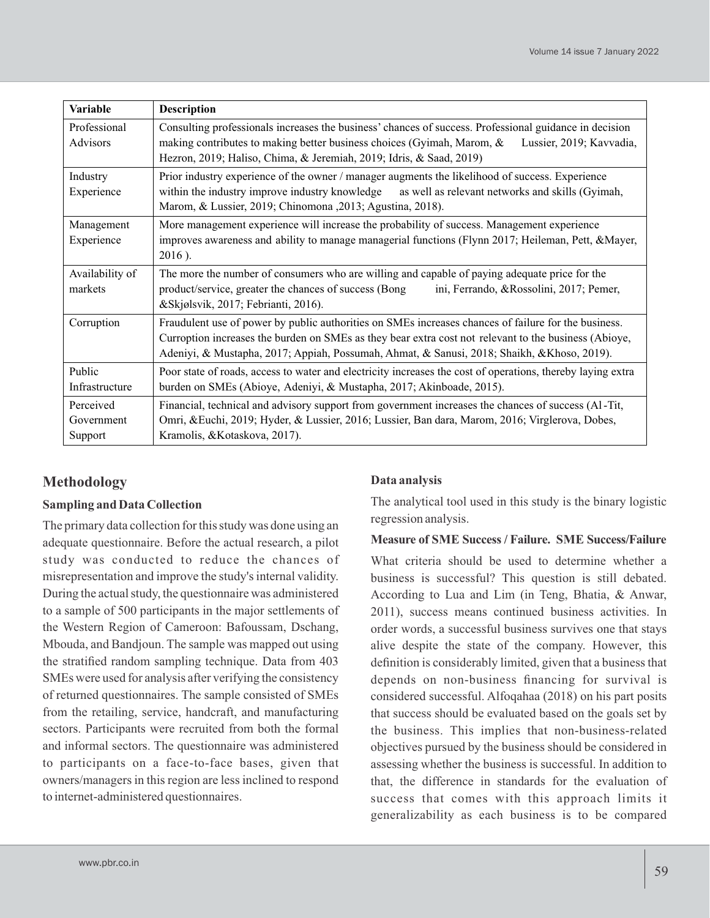| <b>Variable</b>                    | <b>Description</b>                                                                                                                                                                                                                                                                                          |
|------------------------------------|-------------------------------------------------------------------------------------------------------------------------------------------------------------------------------------------------------------------------------------------------------------------------------------------------------------|
| Professional<br>Advisors           | Consulting professionals increases the business' chances of success. Professional guidance in decision<br>making contributes to making better business choices (Gyimah, Marom, &<br>Lussier, 2019; Kavvadia,<br>Hezron, 2019; Haliso, Chima, & Jeremiah, 2019; Idris, & Saad, 2019)                         |
| Industry<br>Experience             | Prior industry experience of the owner / manager augments the likelihood of success. Experience<br>within the industry improve industry knowledge as well as relevant networks and skills (Gyimah,<br>Marom, & Lussier, 2019; Chinomona , 2013; Agustina, 2018).                                            |
| Management<br>Experience           | More management experience will increase the probability of success. Management experience<br>improves awareness and ability to manage managerial functions (Flynn 2017; Heileman, Pett, &Mayer,<br>2016).                                                                                                  |
| Availability of<br>markets         | The more the number of consumers who are willing and capable of paying adequate price for the<br>product/service, greater the chances of success (Bong<br>ini, Ferrando, & Rossolini, 2017; Pemer,<br>&Skjølsvik, 2017; Febrianti, 2016).                                                                   |
| Corruption                         | Fraudulent use of power by public authorities on SMEs increases chances of failure for the business.<br>Curroption increases the burden on SMEs as they bear extra cost not relevant to the business (Abioye,<br>Adeniyi, & Mustapha, 2017; Appiah, Possumah, Ahmat, & Sanusi, 2018; Shaikh, &Khoso, 2019). |
| Public<br>Infrastructure           | Poor state of roads, access to water and electricity increases the cost of operations, thereby laying extra<br>burden on SMEs (Abioye, Adeniyi, & Mustapha, 2017; Akinboade, 2015).                                                                                                                         |
| Perceived<br>Government<br>Support | Financial, technical and advisory support from government increases the chances of success (Al-Tit,<br>Omri, &Euchi, 2019; Hyder, & Lussier, 2016; Lussier, Ban dara, Marom, 2016; Virglerova, Dobes,<br>Kramolis, &Kotaskova, 2017).                                                                       |

# **Methodology**

### **Sampling and Data Collection**

The primary data collection for this study was done using an adequate questionnaire. Before the actual research, a pilot study was conducted to reduce the chances of misrepresentation and improve the study's internal validity. During the actual study, the questionnaire was administered to a sample of 500 participants in the major settlements of the Western Region of Cameroon: Bafoussam, Dschang, Mbouda, and Bandjoun. The sample was mapped out using the stratified random sampling technique. Data from 403 SMEs were used for analysis after verifying the consistency of returned questionnaires. The sample consisted of SMEs from the retailing, service, handcraft, and manufacturing sectors. Participants were recruited from both the formal and informal sectors. The questionnaire was administered to participants on a face-to-face bases, given that owners/managers in this region are less inclined to respond to internet-administered questionnaires.

## **Data analysis**

The analytical tool used in this study is the binary logistic regression analysis.

### **Measure of SME Success / Failure. SME Success/Failure**

What criteria should be used to determine whether a business is successful? This question is still debated. According to Lua and Lim (in Teng, Bhatia, & Anwar, 2011), success means continued business activities. In order words, a successful business survives one that stays alive despite the state of the company. However, this definition is considerably limited, given that a business that depends on non-business financing for survival is considered successful. Alfoqahaa (2018) on his part posits that success should be evaluated based on the goals set by the business. This implies that non-business-related objectives pursued by the business should be considered in assessing whether the business is successful. In addition to that, the difference in standards for the evaluation of success that comes with this approach limits it generalizability as each business is to be compared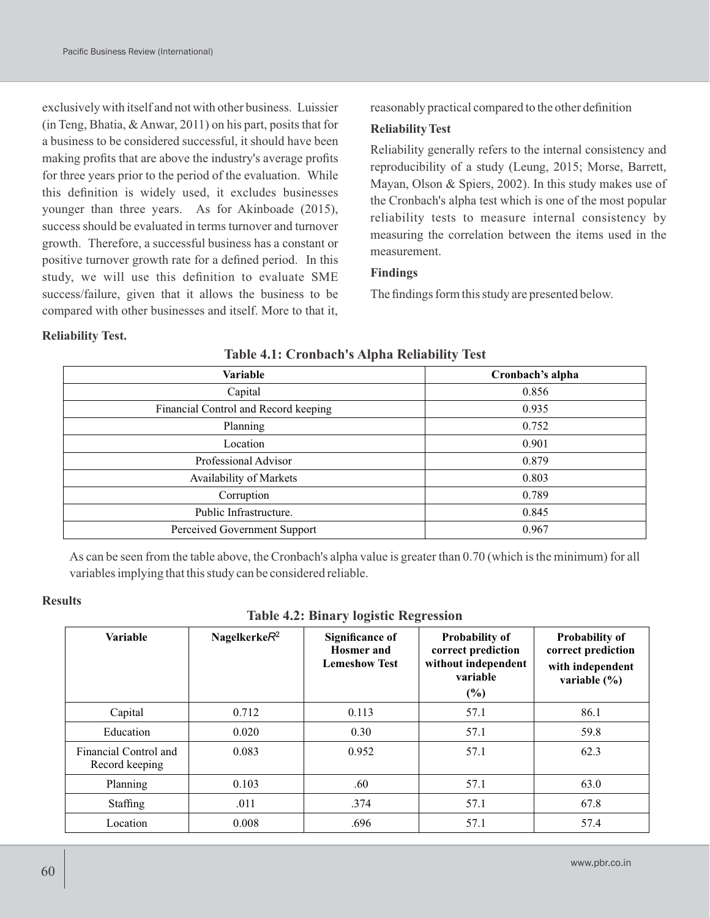exclusively with itself and not with other business. Luissier (in Teng, Bhatia, & Anwar, 2011) on his part, posits that for a business to be considered successful, it should have been making profits that are above the industry's average profits for three years prior to the period of the evaluation. While this definition is widely used, it excludes businesses younger than three years. As for Akinboade (2015), success should be evaluated in terms turnover and turnover growth. Therefore, a successful business has a constant or positive turnover growth rate for a defined period. In this study, we will use this definition to evaluate SME success/failure, given that it allows the business to be compared with other businesses and itself. More to that it,

reasonably practical compared to the other definition

#### **Reliability Test**

Reliability generally refers to the internal consistency and reproducibility of a study (Leung, 2015; Morse, Barrett, Mayan, Olson & Spiers, 2002). In this study makes use of the Cronbach's alpha test which is one of the most popular reliability tests to measure internal consistency by measuring the correlation between the items used in the measurement.

#### **Findings**

The findings form this study are presented below.

#### **Reliability Test.**

| <b>Variable</b>                      | Cronbach's alpha |
|--------------------------------------|------------------|
| Capital                              | 0.856            |
| Financial Control and Record keeping | 0.935            |
| Planning                             | 0.752            |
| Location                             | 0.901            |
| Professional Advisor                 | 0.879            |
| Availability of Markets              | 0.803            |
| Corruption                           | 0.789            |
| Public Infrastructure.               | 0.845            |
| Perceived Government Support         | 0.967            |

#### **Table 4.1: Cronbach's Alpha Reliability Test**

As can be seen from the table above, the Cronbach's alpha value is greater than 0.70 (which is the minimum) for all variables implying that this study can be considered reliable.

#### **Results**

#### **Table 4.2: Binary logistic Regression**

| <b>Variable</b>                         | Nagelkerke $R^2$ | <b>Significance of</b><br><b>Hosmer</b> and<br><b>Lemeshow Test</b> | <b>Probability of</b><br>correct prediction<br>without independent<br>variable<br>(%) | <b>Probability of</b><br>correct prediction<br>with independent<br>variable $(\% )$ |
|-----------------------------------------|------------------|---------------------------------------------------------------------|---------------------------------------------------------------------------------------|-------------------------------------------------------------------------------------|
| Capital                                 | 0.712            | 0.113                                                               | 57.1                                                                                  | 86.1                                                                                |
| Education                               | 0.020            | 0.30                                                                | 57.1                                                                                  | 59.8                                                                                |
| Financial Control and<br>Record keeping | 0.083            | 0.952                                                               | 57.1                                                                                  | 62.3                                                                                |
| Planning                                | 0.103            | .60                                                                 | 57.1                                                                                  | 63.0                                                                                |
| Staffing                                | .011             | .374                                                                | 57.1                                                                                  | 67.8                                                                                |
| Location                                | 0.008            | .696                                                                | 57.1                                                                                  | 57.4                                                                                |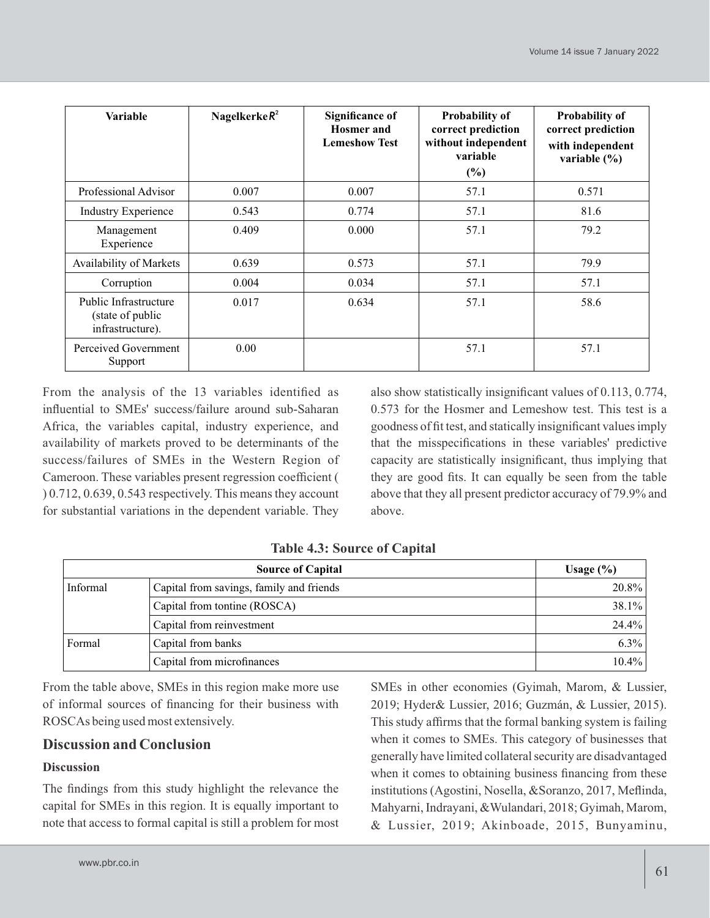| <b>Variable</b>                                               | Nagelkerke $R^2$ | <b>Significance of</b><br><b>Hosmer</b> and<br><b>Lemeshow Test</b> | <b>Probability of</b><br>correct prediction<br>without independent<br>variable<br>(%) | <b>Probability of</b><br>correct prediction<br>with independent<br>variable $(\% )$ |
|---------------------------------------------------------------|------------------|---------------------------------------------------------------------|---------------------------------------------------------------------------------------|-------------------------------------------------------------------------------------|
| Professional Advisor                                          | 0.007            | 0.007                                                               | 57.1                                                                                  | 0.571                                                                               |
| <b>Industry Experience</b>                                    | 0.543            | 0.774                                                               | 57.1                                                                                  | 81.6                                                                                |
| Management<br>Experience                                      | 0.409            | 0.000                                                               | 57.1                                                                                  | 79.2                                                                                |
| Availability of Markets                                       | 0.639            | 0.573                                                               | 57.1                                                                                  | 79.9                                                                                |
| Corruption                                                    | 0.004            | 0.034                                                               | 57.1                                                                                  | 57.1                                                                                |
| Public Infrastructure<br>(state of public<br>infrastructure). | 0.017            | 0.634                                                               | 57.1                                                                                  | 58.6                                                                                |
| Perceived Government<br>Support                               | 0.00             |                                                                     | 57.1                                                                                  | 57.1                                                                                |

From the analysis of the 13 variables identified as influential to SMEs' success/failure around sub-Saharan Africa, the variables capital, industry experience, and availability of markets proved to be determinants of the success/failures of SMEs in the Western Region of Cameroon. These variables present regression coefficient ( ) 0.712, 0.639, 0.543 respectively. This means they account for substantial variations in the dependent variable. They

also show statistically insignificant values of 0.113, 0.774, 0.573 for the Hosmer and Lemeshow test. This test is a goodness of fit test, and statically insignificant values imply that the misspecifications in these variables' predictive capacity are statistically insignificant, thus implying that they are good fits. It can equally be seen from the table above that they all present predictor accuracy of 79.9% and above.

|          | <b>Source of Capital</b>                 | Usage $(\% )$ |
|----------|------------------------------------------|---------------|
| Informal | Capital from savings, family and friends | 20.8%         |
|          | Capital from tontine (ROSCA)             | 38.1%         |
|          | Capital from reinvestment                | 24.4%         |
| Formal   | Capital from banks                       | $6.3\%$       |
|          | Capital from microfinances               | $10.4\%$      |

**Table 4.3: Source of Capital**

From the table above, SMEs in this region make more use of informal sources of financing for their business with ROSCAs being used most extensively.

# **Discussion and Conclusion**

## **Discussion**

The findings from this study highlight the relevance the capital for SMEs in this region. It is equally important to note that access to formal capital is still a problem for most SMEs in other economies (Gyimah, Marom, & Lussier, 2019; Hyder& Lussier, 2016; Guzmán, & Lussier, 2015). This study affirms that the formal banking system is failing when it comes to SMEs. This category of businesses that generally have limited collateral security are disadvantaged when it comes to obtaining business financing from these institutions (Agostini, Nosella, &Soranzo, 2017, Meflinda, Mahyarni, Indrayani, &Wulandari, 2018; Gyimah, Marom, & Lussier, 2019; Akinboade, 2015, Bunyaminu,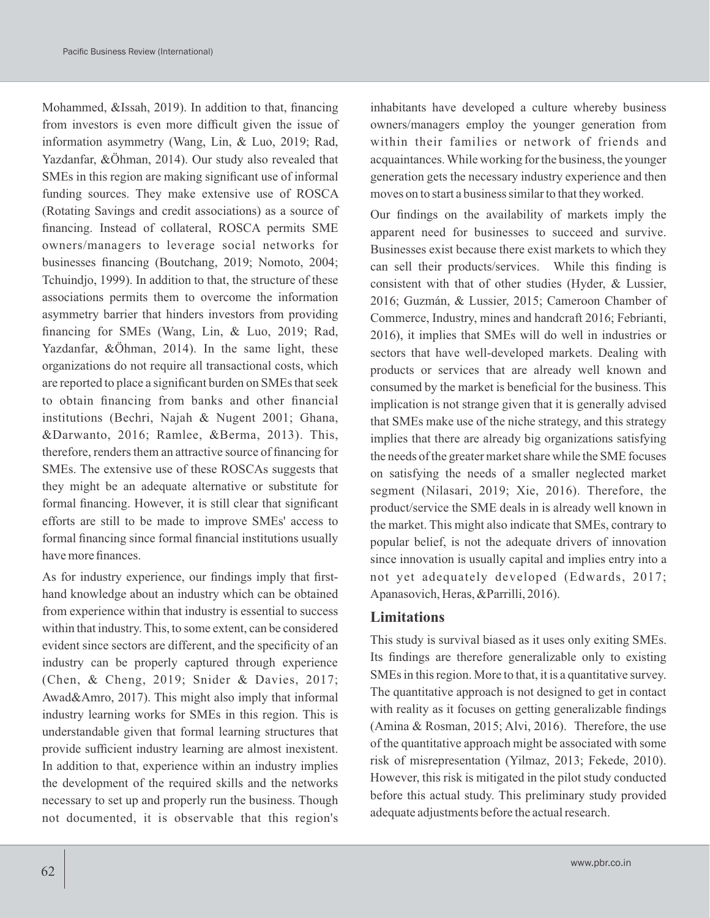Mohammed, &Issah, 2019). In addition to that, financing from investors is even more difficult given the issue of information asymmetry (Wang, Lin, & Luo, 2019; Rad, Yazdanfar, &Öhman, 2014). Our study also revealed that SMEs in this region are making significant use of informal funding sources. They make extensive use of ROSCA (Rotating Savings and credit associations) as a source of financing. Instead of collateral, ROSCA permits SME owners/managers to leverage social networks for businesses financing (Boutchang, 2019; Nomoto, 2004; Tchuindjo, 1999). In addition to that, the structure of these associations permits them to overcome the information asymmetry barrier that hinders investors from providing financing for SMEs (Wang, Lin, & Luo, 2019; Rad, Yazdanfar, &Öhman, 2014). In the same light, these organizations do not require all transactional costs, which are reported to place a significant burden on SMEs that seek to obtain financing from banks and other financial institutions (Bechri, Najah & Nugent 2001; Ghana, &Darwanto, 2016; Ramlee, &Berma, 2013). This, therefore, renders them an attractive source of financing for SMEs. The extensive use of these ROSCAs suggests that they might be an adequate alternative or substitute for formal financing. However, it is still clear that significant efforts are still to be made to improve SMEs' access to formal financing since formal financial institutions usually have more finances.

As for industry experience, our findings imply that firsthand knowledge about an industry which can be obtained from experience within that industry is essential to success within that industry. This, to some extent, can be considered evident since sectors are different, and the specificity of an industry can be properly captured through experience (Chen, & Cheng, 2019; Snider & Davies, 2017; Awad&Amro, 2017). This might also imply that informal industry learning works for SMEs in this region. This is understandable given that formal learning structures that provide sufficient industry learning are almost inexistent. In addition to that, experience within an industry implies the development of the required skills and the networks necessary to set up and properly run the business. Though not documented, it is observable that this region's

inhabitants have developed a culture whereby business owners/managers employ the younger generation from within their families or network of friends and acquaintances. While working for the business, the younger generation gets the necessary industry experience and then moves on to start a business similar to that they worked.

Our findings on the availability of markets imply the apparent need for businesses to succeed and survive. Businesses exist because there exist markets to which they can sell their products/services. While this finding is consistent with that of other studies (Hyder, & Lussier, 2016; Guzmán, & Lussier, 2015; Cameroon Chamber of Commerce, Industry, mines and handcraft 2016; Febrianti, 2016), it implies that SMEs will do well in industries or sectors that have well-developed markets. Dealing with products or services that are already well known and consumed by the market is beneficial for the business. This implication is not strange given that it is generally advised that SMEs make use of the niche strategy, and this strategy implies that there are already big organizations satisfying the needs of the greater market share while the SME focuses on satisfying the needs of a smaller neglected market segment (Nilasari, 2019; Xie, 2016). Therefore, the product/service the SME deals in is already well known in the market. This might also indicate that SMEs, contrary to popular belief, is not the adequate drivers of innovation since innovation is usually capital and implies entry into a not yet adequately developed (Edwards, 2017; Apanasovich, Heras, &Parrilli, 2016).

# **Limitations**

This study is survival biased as it uses only exiting SMEs. Its findings are therefore generalizable only to existing SMEs in this region. More to that, it is a quantitative survey. The quantitative approach is not designed to get in contact with reality as it focuses on getting generalizable findings (Amina & Rosman, 2015; Alvi, 2016). Therefore, the use of the quantitative approach might be associated with some risk of misrepresentation (Yilmaz, 2013; Fekede, 2010). However, this risk is mitigated in the pilot study conducted before this actual study. This preliminary study provided adequate adjustments before the actual research.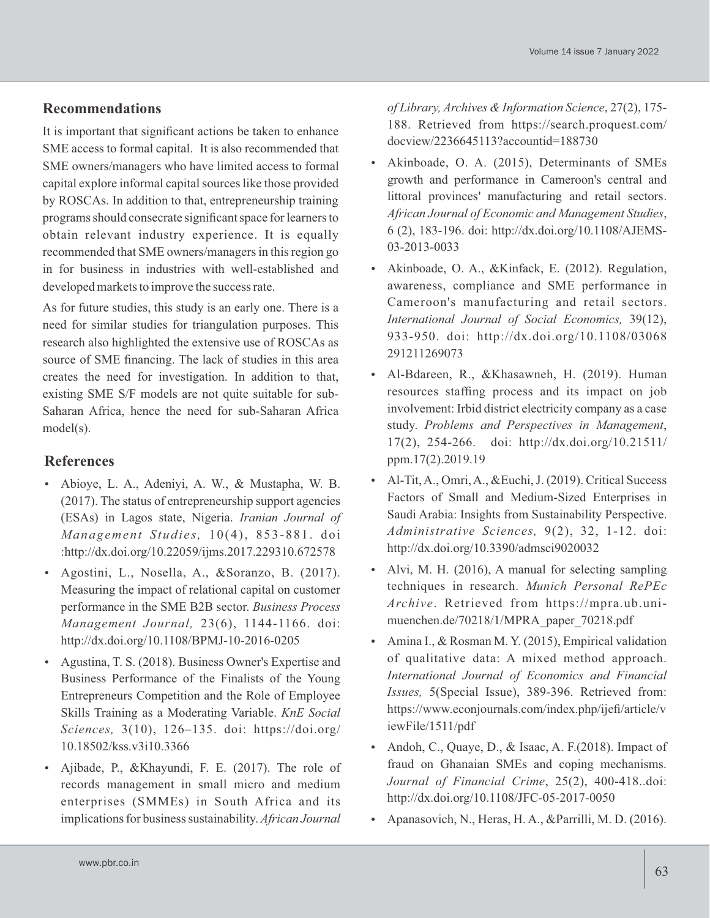## **Recommendations**

It is important that significant actions be taken to enhance SME access to formal capital. It is also recommended that SME owners/managers who have limited access to formal capital explore informal capital sources like those provided by ROSCAs. In addition to that, entrepreneurship training programs should consecrate significant space for learners to obtain relevant industry experience. It is equally recommended that SME owners/managers in this region go in for business in industries with well-established and developed markets to improve the success rate.

As for future studies, this study is an early one. There is a need for similar studies for triangulation purposes. This research also highlighted the extensive use of ROSCAs as source of SME financing. The lack of studies in this area creates the need for investigation. In addition to that, existing SME S/F models are not quite suitable for sub-Saharan Africa, hence the need for sub-Saharan Africa model(s).

# **References**

- Abioye, L. A., Adeniyi, A. W., & Mustapha, W. B. (2017). The status of entrepreneurship support agencies (ESAs) in Lagos state, Nigeria. *Iranian Journal of Management Studi e s,* 10(4), 853-881. doi :http://dx.doi.org/10.22059/ijms.2017.229310.672578
- Agostini, L., Nosella, A., &Soranzo, B. (2017). Measuring the impact of relational capital on customer performance in the SME B2B sector. *Business Process Management Journal,* 23(6), 1144-1166. doi: http://dx.doi.org/10.1108/BPMJ-10-2016-0205
- Agustina, T. S. (2018). Business Owner's Expertise and Business Performance of the Finalists of the Young Entrepreneurs Competition and the Role of Employee Skills Training as a Moderating Variable. *KnE Social Sciences,* 3(10), 126–135. doi: https://doi.org/ 10.18502/kss.v3i10.3366
- Ajibade, P., &Khayundi, F. E. (2017). The role of records management in small micro and medium enterprises (SMMEs) in South Africa and its implications for business sustainability. *African Journal*

*of Library, Archives & Information Science*, 27(2), 175- 188. Retrieved from https://search.proquest.com/ docview/2236645113?accountid=188730

- Akinboade, O. A. (2015), Determinants of SMEs growth and performance in Cameroon's central and littoral provinces' manufacturing and retail sectors. *African Journal of Economic and Management Studies*, 6 (2), 183-196. doi: http://dx.doi.org/10.1108/AJEMS-03-2013-0033
- Akinboade, O. A., &Kinfack, E. (2012). Regulation, awareness, compliance and SME performance in Cameroon's manufacturing and retail sectors. *International Journal of Social Economics,* 39(12), 933-950. doi: http://dx.doi.org/10.1108/03068 291211269073
- Al-Bdareen, R., &Khasawneh, H. (2019). Human resources staffing process and its impact on job involvement: Irbid district electricity company as a case study. *Problems and Perspectives in Management*, 17(2), 254-266. doi: http://dx.doi.org/10.21511/ ppm.17(2).2019.19
- Al-Tit, A., Omri, A., &Euchi, J. (2019). Critical Success Factors of Small and Medium-Sized Enterprises in Saudi Arabia: Insights from Sustainability Perspective. *Administrative Sciences,* 9(2), 32, 1-12. doi: http://dx.doi.org/10.3390/admsci9020032
- Alvi, M. H. (2016), A manual for selecting sampling techniques in research. *Munich Personal RePEc Archive*. Retrieved from https://mpra.ub.unimuenchen.de/70218/1/MPRA\_paper\_70218.pdf
- Amina I., & Rosman M. Y. (2015), Empirical validation of qualitative data: A mixed method approach. *International Journal of Economics and Financial Issues,* 5(Special Issue), 389-396. Retrieved from: https://www.econjournals.com/index.php/ijefi/article/v iewFile/1511/pdf
- Andoh, C., Quaye, D., & Isaac, A. F.(2018). Impact of fraud on Ghanaian SMEs and coping mechanisms. *Journal of Financial Crime*, 25(2), 400-418..doi: http://dx.doi.org/10.1108/JFC-05-2017-0050
- Apanasovich, N., Heras, H. A., &Parrilli, M. D. (2016).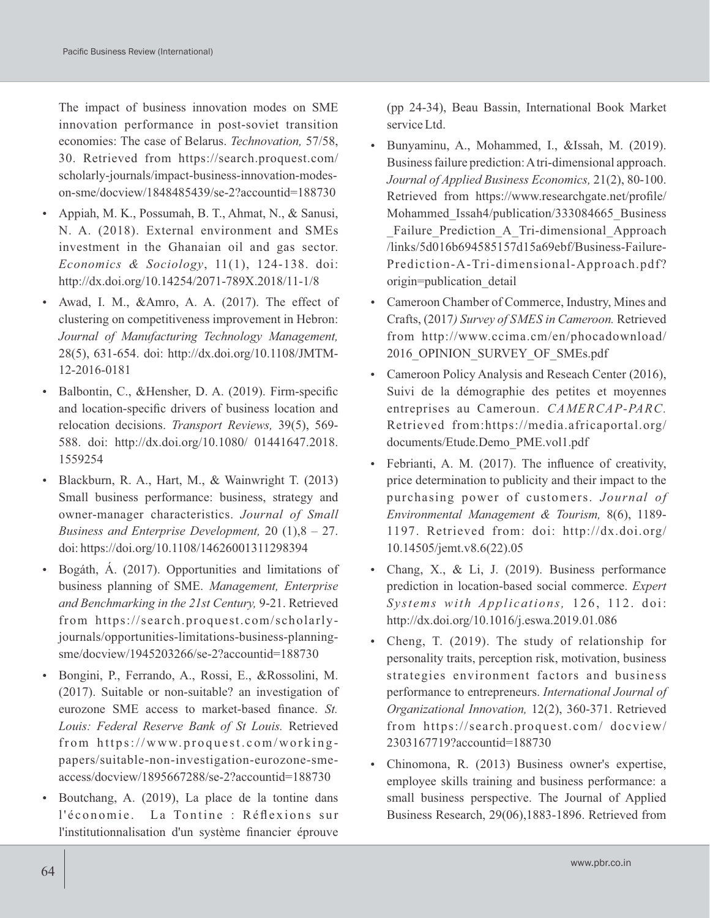The impact of business innovation modes on SME innovation performance in post-soviet transition economies: The case of Belarus. *Technovation,* 57/58, 30. Retrieved from https://search.proquest.com/ scholarly-journals/impact-business-innovation-modeson-sme/docview/1848485439/se-2?accountid=188730

- Appiah, M. K., Possumah, B. T., Ahmat, N., & Sanusi, N. A. (2018). External environment and SMEs investment in the Ghanaian oil and gas sector. *Economics & Sociology*, 11(1), 124-138. doi: http://dx.doi.org/10.14254/2071-789X.2018/11-1/8
- Awad, I. M., &Amro, A. A. (2017). The effect of clustering on competitiveness improvement in Hebron: *Journal of Manufacturing Technology Management,*  28(5), 631-654. doi: http://dx.doi.org/10.1108/JMTM-12-2016-0181
- Balbontin, C., &Hensher, D. A. (2019). Firm-specific and location-specific drivers of business location and relocation decisions. *Transport Reviews,* 39(5), 569- 588. doi: http://dx.doi.org/10.1080/ 01441647.2018. 1559254
- Blackburn, R. A., Hart, M., & Wainwright T. (2013) Small business performance: business, strategy and owner-manager characteristics. *Journal of Small Business and Enterprise Development,* 20 (1),8 – 27. doi: https://doi.org/10.1108/14626001311298394
- Bogáth, Á. (2017). Opportunities and limitations of business planning of SME. *Management, Enterprise and Benchmarking in the 21st Century,* 9-21. Retrieved from https://search.proquest.com/scholarlyjournals/opportunities-limitations-business-planningsme/docview/1945203266/se-2?accountid=188730
- Bongini, P., Ferrando, A., Rossi, E., &Rossolini, M. (2017). Suitable or non-suitable? an investigation of eurozone SME access to market-based finance. *St. Louis: Federal Reserve Bank of St Louis.* Retrieved from https://www.proquest.com/workingpapers/suitable-non-investigation-eurozone-smeaccess/docview/1895667288/se-2?accountid=188730
- Boutchang, A. (2019), La place de la tontine dans l'économie. La Tontine : Réflexions sur l'institutionnalisation d'un système financier éprouve

(pp 24-34), Beau Bassin, International Book Market service Ltd.

- Bunyaminu, A., Mohammed, I., &Issah, M. (2019). Business failure prediction: Atri-dimensional approach. *Journal of Applied Business Economics,* 21(2), 80-100. Retrieved from https://www.researchgate.net/profile/ Mohammed Issah4/publication/333084665 Business Failure Prediction A Tri-dimensional Approach /links/5d016b694585157d15a69ebf/Business-Failure-Prediction-A-Tri-dimensional-Approach.pdf? origin=publication\_detail
- Cameroon Chamber of Commerce, Industry, Mines and Crafts, (2017*) Survey of SMES in Cameroon.* Retrieved from http://www.ccima.cm/en/phocadownload/ 2016 OPINION SURVEY OF SMEs.pdf
- Cameroon Policy Analysis and Reseach Center (2016), Suivi de la démographie des petites et moyennes entreprises au Cameroun. *CAMERCAP-PARC.* Retrieved from:https://media.africaportal.org/ documents/Etude.Demo\_PME.vol1.pdf
- Febrianti, A. M. (2017). The influence of creativity, price determination to publicity and their impact to the purchasing power of customers. *Journal of Environmental Management & Tourism,* 8(6), 1189- 1197. Retrieved from: doi: http://dx.doi.org/ 10.14505/jemt.v8.6(22).05
- Chang, X., & Li, J. (2019). Business performance prediction in location-based social commerce. *Expert Sy st ems with Appli cations,* 126, 112. doi: http://dx.doi.org/10.1016/j.eswa.2019.01.086
- Cheng, T. (2019). The study of relationship for personality traits, perception risk, motivation, business strategies environment factors and business performance to entrepreneurs. *International Journal of Organizational Innovation,* 12(2), 360-371. Retrieved from https://search.proquest.com/ docview/ 2303167719?accountid=188730
- Chinomona, R. (2013) Business owner's expertise, employee skills training and business performance: a small business perspective. The Journal of Applied Business Research, 29(06),1883-1896. Retrieved from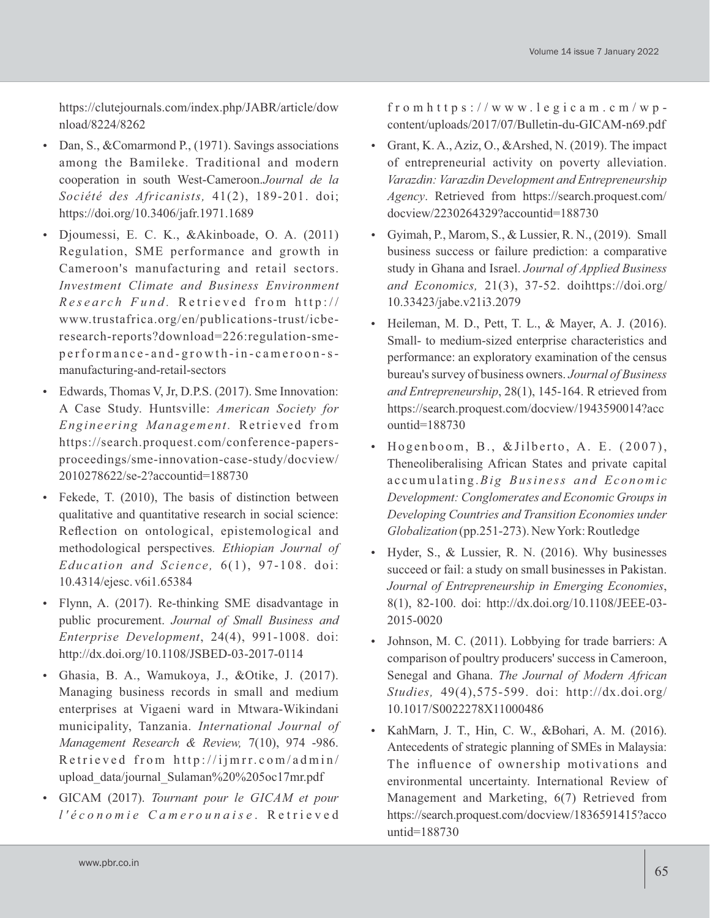https://clutejournals.com/index.php/JABR/article/dow nload/8224/8262

- Dan, S., &Comarmond P., (1971). Savings associations among the Bamileke. Traditional and modern cooperation in south West-Cameroon.*Journal de la Société des Africanists,* 41(2), 189-201. doi; https://doi.org/10.3406/jafr.1971.1689
- Djoumessi, E. C. K., &Akinboade, O. A. (2011) Regulation, SME performance and growth in Cameroon's manufacturing and retail sectors. *Investment Climate and Business Environment R e s e a r c h F u n d .* R e t r i e v e d f r o m h t t p : / / www.trustafrica.org/en/publications-trust/icberesearch-reports?download=226:regulation-smep erformance-and-growth-in-cameroon-smanufacturing-and-retail-sectors
- Edwards, Thomas V, Jr, D.P.S. (2017). Sme Innovation: A Case Study. Huntsville: *American Society for Engineering Management.* Retrieved from https://search.proquest.com/conference-papersproceedings/sme-innovation-case-study/docview/ 2010278622/se-2?accountid=188730
- Fekede, T. (2010), The basis of distinction between qualitative and quantitative research in social science: Reflection on ontological, epistemological and methodological perspectives*. Ethiopian Journal of Education and Science,* 6(1), 97-108. doi: 10.4314/ejesc. v6i1.65384
- Flynn, A. (2017). Re-thinking SME disadvantage in public procurement. *Journal of Small Business and Enterprise Development*, 24(4), 991-1008. doi: http://dx.doi.org/10.1108/JSBED-03-2017-0114
- Ghasia, B. A., Wamukoya, J., &Otike, J. (2017). Managing business records in small and medium enterprises at Vigaeni ward in Mtwara-Wikindani municipality, Tanzania. *International Journal of Management Research & Review,* 7(10), 974 -986. Retrieved from http://ijmrr.com/admin/ upload\_data/journal\_Sulaman%20%205oc17mr.pdf
- GICAM (2017). *Tournant pour le GICAM et pour l ' é c o n o m i e C a m e r o u n a i s e* . R e t r i e v e d

from  $h$  t t p s : //www.legicam.cm/wpcontent/uploads/2017/07/Bulletin-du-GICAM-n69.pdf

- Grant, K. A., Aziz, O., &Arshed, N. (2019). The impact of entrepreneurial activity on poverty alleviation. *Varazdin: Varazdin Development and Entrepreneurship Agency*. Retrieved from https://search.proquest.com/ docview/2230264329?accountid=188730
- Gyimah, P., Marom, S., & Lussier, R. N., (2019). Small business success or failure prediction: a comparative study in Ghana and Israel. *Journal of Applied Business and Economics,* 21(3), 37-52. doihttps://doi.org/ 10.33423/jabe.v21i3.2079
- Heileman, M. D., Pett, T. L., & Mayer, A. J. (2016). Small- to medium-sized enterprise characteristics and performance: an exploratory examination of the census bureau's survey of business owners. *Journal of Business and Entrepreneurship*, 28(1), 145-164. R etrieved from https://search.proquest.com/docview/1943590014?acc ountid=188730
- $\bullet$  Hogenboom, B., &Jilberto, A. E. (2007), Theneoliberalising African States and private capital accumulating. Big Business and Economic *Development: Conglomerates and Economic Groups in Developing Countries and Transition Economies under Globalization* (pp.251-273). New York: Routledge
- Hyder, S., & Lussier, R. N. (2016). Why businesses succeed or fail: a study on small businesses in Pakistan. *Journal of Entrepreneurship in Emerging Economies*, 8(1), 82-100. doi: http://dx.doi.org/10.1108/JEEE-03- 2015-0020
- Johnson, M. C. (2011). Lobbying for trade barriers: A comparison of poultry producers' success in Cameroon, Senegal and Ghana. *The Journal of Modern African Studies,* 49(4),575-599. doi: http://dx.doi.org/ 10.1017/S0022278X11000486
- KahMarn, J. T., Hin, C. W., &Bohari, A. M. (2016). Antecedents of strategic planning of SMEs in Malaysia: The influence of ownership motivations and environmental uncertainty. International Review of Management and Marketing, 6(7) Retrieved from https://search.proquest.com/docview/1836591415?acco untid=188730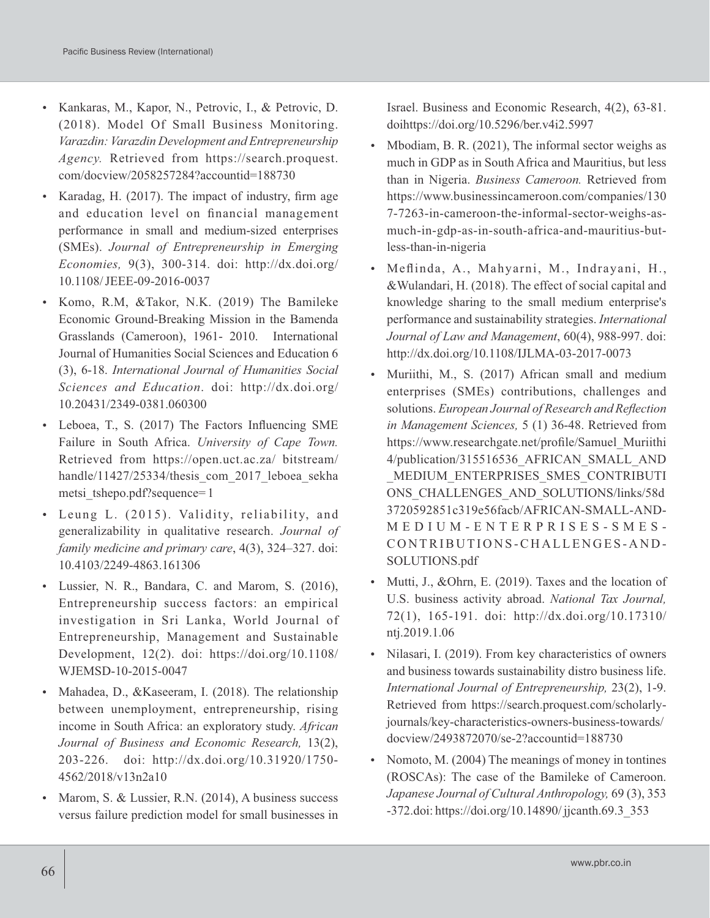- Kankaras, M., Kapor, N., Petrovic, I., & Petrovic, D. (2018). Model Of Small Business Monitoring. *Varazdin: Varazdin Development and Entrepreneurship Agency.* Retrieved from https://search.proquest. com/docview/2058257284?accountid=188730
- Karadag, H. (2017). The impact of industry, firm age and education level on financial management performance in small and medium-sized enterprises (SMEs). *Journal of Entrepreneurship in Emerging Economies,* 9(3), 300-314. doi: http://dx.doi.org/ 10.1108/ JEEE-09-2016-0037
- Komo, R.M, &Takor, N.K. (2019) The Bamileke Economic Ground-Breaking Mission in the Bamenda Grasslands (Cameroon), 1961- 2010. International Journal of Humanities Social Sciences and Education 6 (3), 6-18. *International Journal of Humanities Social Sciences and Education*. doi: http://dx.doi.org/ 10.20431/2349-0381.060300
- Leboea, T., S. (2017) The Factors Influencing SME Failure in South Africa. *University of Cape Town.* Retrieved from https://open.uct.ac.za/ bitstream/ handle/11427/25334/thesis\_com\_2017\_leboea\_sekha metsi tshepo.pdf?sequence= 1
- Leung L. (2015). Validity, reliability, and generalizability in qualitative research. *Journal of family medicine and primary care*, 4(3), 324–327. doi: 10.4103/2249-4863.161306
- Lussier, N. R., Bandara, C. and Marom, S. (2016), Entrepreneurship success factors: an empirical investigation in Sri Lanka, World Journal of Entrepreneurship, Management and Sustainable Development, 12(2). doi: https://doi.org/10.1108/ WJEMSD-10-2015-0047
- Mahadea, D., & Kaseeram, I. (2018). The relationship between unemployment, entrepreneurship, rising income in South Africa: an exploratory study. *African Journal of Business and Economic Research,* 13(2), 203-226. doi: http://dx.doi.org/10.31920/1750- 4562/2018/v13n2a10
- Marom, S. & Lussier, R.N. (2014), A business success versus failure prediction model for small businesses in

Israel. Business and Economic Research, 4(2), 63-81. doihttps://doi.org/10.5296/ber.v4i2.5997

- Mbodiam, B. R. (2021), The informal sector weighs as much in GDP as in South Africa and Mauritius, but less than in Nigeria. *Business Cameroon.* Retrieved from https://www.businessincameroon.com/companies/130 7-7263-in-cameroon-the-informal-sector-weighs-asmuch-in-gdp-as-in-south-africa-and-mauritius-butless-than-in-nigeria
- Meflinda, A., Mahyarni, M., Indrayani, H., &Wulandari, H. (2018). The effect of social capital and knowledge sharing to the small medium enterprise's performance and sustainability strategies. *International Journal of Law and Management*, 60(4), 988-997. doi: http://dx.doi.org/10.1108/IJLMA-03-2017-0073
- Muriithi, M., S. (2017) African small and medium enterprises (SMEs) contributions, challenges and solutions. *European Journal of Research and Reflection in Management Sciences,* 5 (1) 36-48. Retrieved from https://www.researchgate.net/profile/Samuel\_Muriithi 4/publication/315516536\_AFRICAN\_SMALL\_AND \_MEDIUM\_ENTERPRISES\_SMES\_CONTRIBUTI ONS\_CHALLENGES\_AND\_SOLUTIONS/links/58d 3720592851c319e56facb/AFRICAN-SMALL-AND-M E D I U M - E N T E R P R I S E S - S M E S - CONTRIBUTIONS-CHALLENGES-AND-SOLUTIONS.pdf
- Mutti, J., &Ohrn, E. (2019). Taxes and the location of U.S. business activity abroad. *National Tax Journal,* 72(1), 165-191. doi: http://dx.doi.org/10.17310/ ntj.2019.1.06
- Nilasari, I. (2019). From key characteristics of owners and business towards sustainability distro business life. *International Journal of Entrepreneurship,* 23(2), 1-9. Retrieved from https://search.proquest.com/scholarlyjournals/key-characteristics-owners-business-towards/ docview/2493872070/se-2?accountid=188730
- Nomoto, M. (2004) The meanings of money in tontines (ROSCAs): The case of the Bamileke of Cameroon. *Japanese Journal of Cultural Anthropology,* 69 (3), 353 -372.doi: https://doi.org/10.14890/ jjcanth.69.3\_353